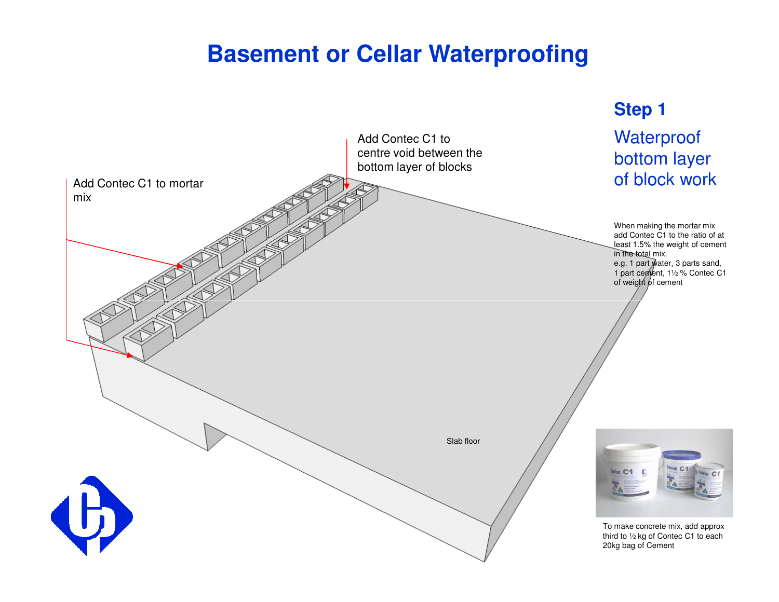# **Basement or Cellar Waterproofing**

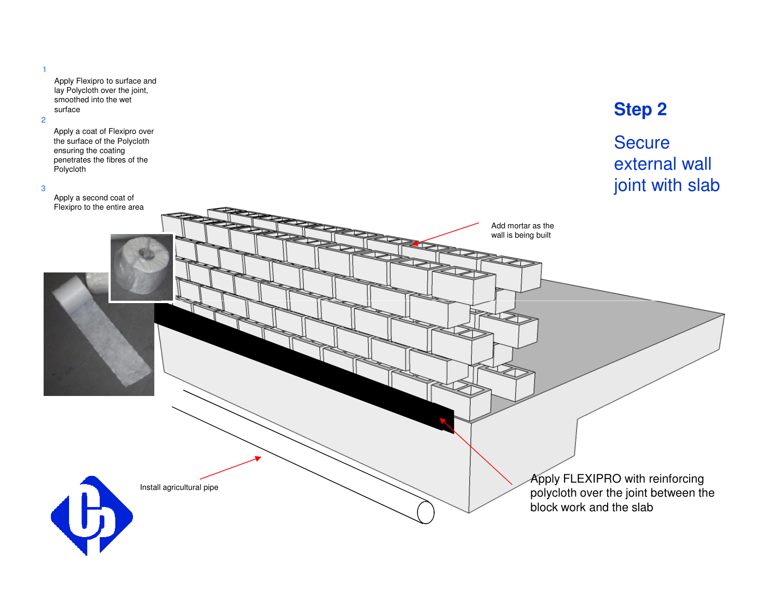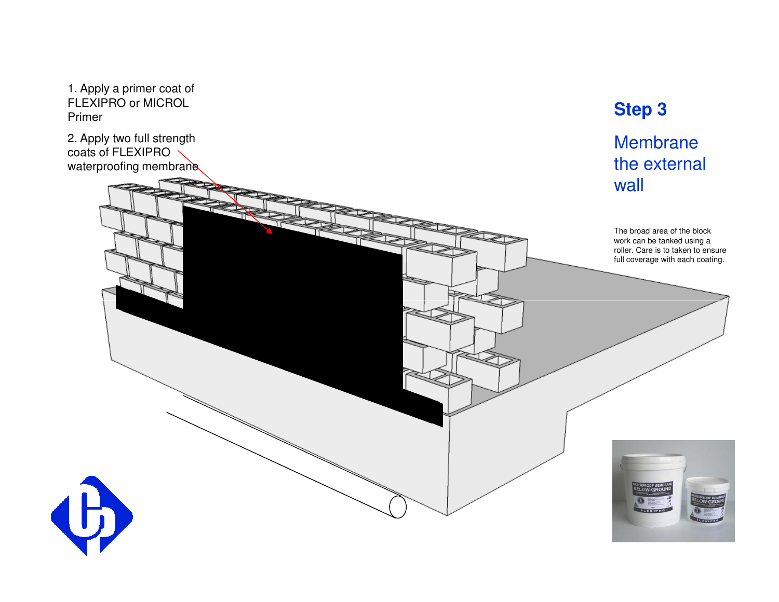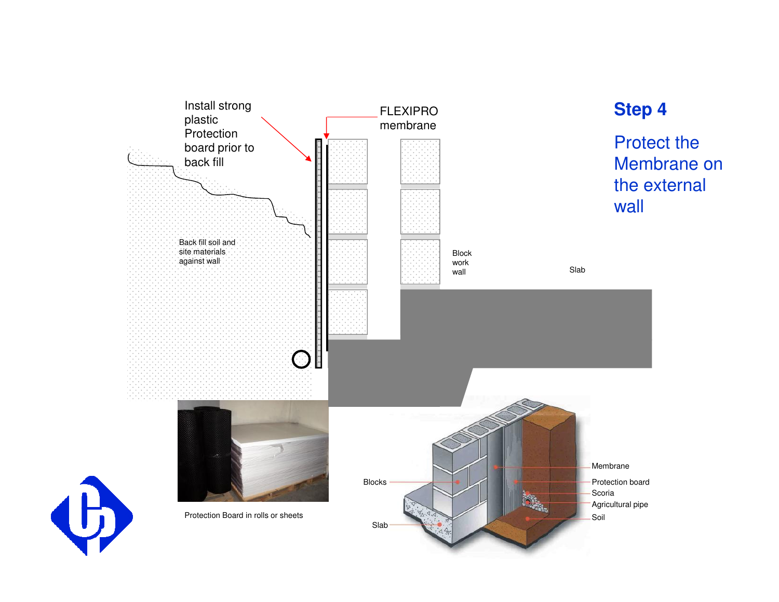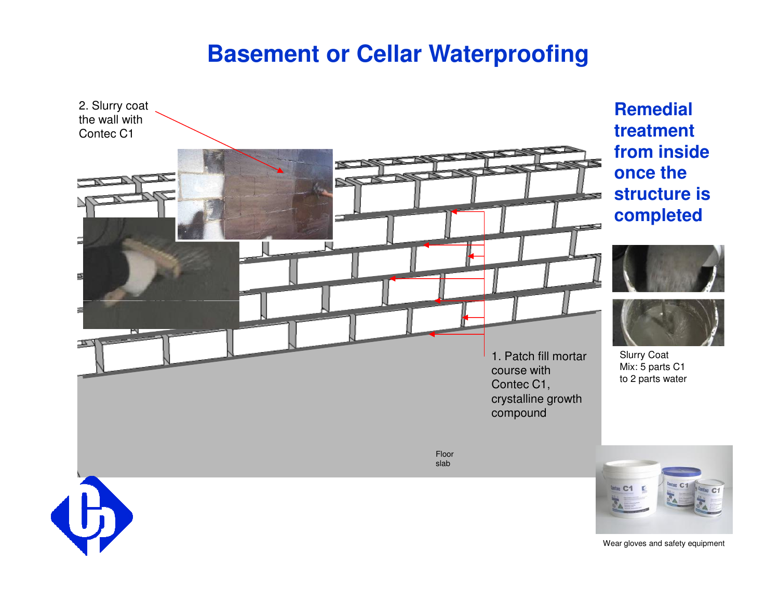# **Basement or Cellar Waterproofing**